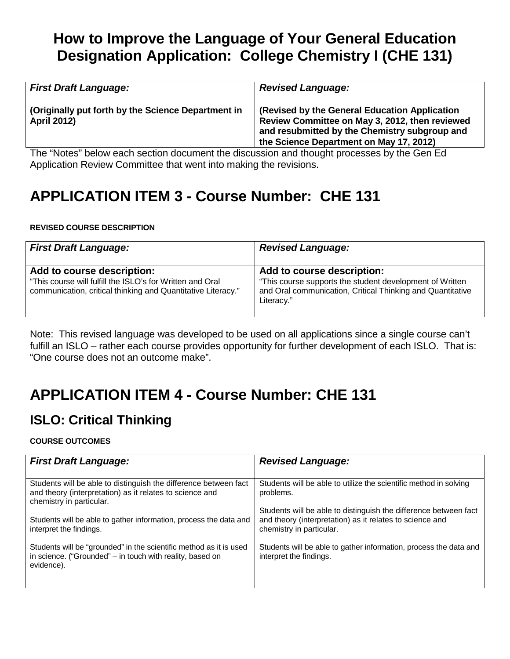## **How to Improve the Language of Your General Education Designation Application: College Chemistry I (CHE 131)**

| <b>First Draft Language:</b>                                             | <b>Revised Language:</b>                                                                                                                                                                    |
|--------------------------------------------------------------------------|---------------------------------------------------------------------------------------------------------------------------------------------------------------------------------------------|
| (Originally put forth by the Science Department in<br><b>April 2012)</b> | (Revised by the General Education Application<br>Review Committee on May 3, 2012, then reviewed<br>and resubmitted by the Chemistry subgroup and<br>the Science Department on May 17, 2012) |
| .<br>$\sim$                                                              | the contract of the contract of the contract of the contract of the contract of the contract of the contract of                                                                             |

The "Notes" below each section document the discussion and thought processes by the Gen Ed Application Review Committee that went into making the revisions.

# **APPLICATION ITEM 3 - Course Number: CHE 131**

### **REVISED COURSE DESCRIPTION**

| <b>First Draft Language:</b>                                                                                                                            | <b>Revised Language:</b>                                                                                                                                           |
|---------------------------------------------------------------------------------------------------------------------------------------------------------|--------------------------------------------------------------------------------------------------------------------------------------------------------------------|
| Add to course description:<br>"This course will fulfill the ISLO's for Written and Oral<br>communication, critical thinking and Quantitative Literacy." | Add to course description:<br>"This course supports the student development of Written<br>and Oral communication, Critical Thinking and Quantitative<br>Literacy." |

Note: This revised language was developed to be used on all applications since a single course can't fulfill an ISLO – rather each course provides opportunity for further development of each ISLO. That is: "One course does not an outcome make".

## **APPLICATION ITEM 4 - Course Number: CHE 131**

## **ISLO: Critical Thinking**

### **COURSE OUTCOMES**

| <b>First Draft Language:</b>                                                                                                                             | <b>Revised Language:</b>                                                                                                                                 |
|----------------------------------------------------------------------------------------------------------------------------------------------------------|----------------------------------------------------------------------------------------------------------------------------------------------------------|
| Students will be able to distinguish the difference between fact<br>and theory (interpretation) as it relates to science and<br>chemistry in particular. | Students will be able to utilize the scientific method in solving<br>problems.                                                                           |
| Students will be able to gather information, process the data and<br>interpret the findings.                                                             | Students will be able to distinguish the difference between fact<br>and theory (interpretation) as it relates to science and<br>chemistry in particular. |
| Students will be "grounded" in the scientific method as it is used<br>in science. ("Grounded" – in touch with reality, based on<br>evidence).            | Students will be able to gather information, process the data and<br>interpret the findings.                                                             |
|                                                                                                                                                          |                                                                                                                                                          |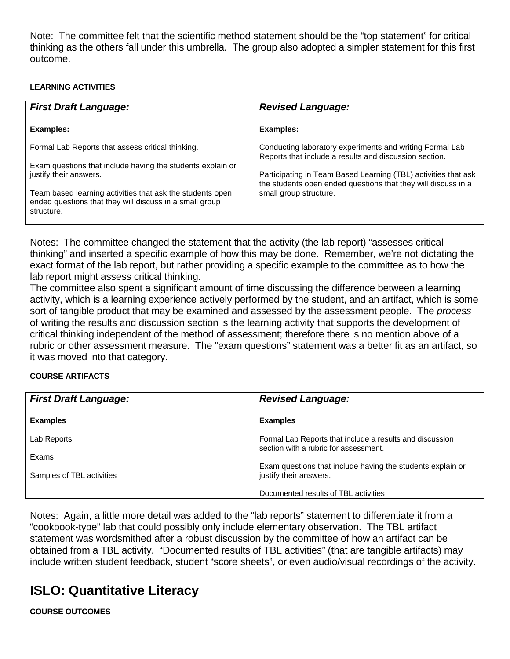Note: The committee felt that the scientific method statement should be the "top statement" for critical thinking as the others fall under this umbrella. The group also adopted a simpler statement for this first outcome.

### **LEARNING ACTIVITIES**

| <b>First Draft Language:</b>                                                                                                       | <b>Revised Language:</b>                                                                                                        |
|------------------------------------------------------------------------------------------------------------------------------------|---------------------------------------------------------------------------------------------------------------------------------|
| Examples:                                                                                                                          | Examples:                                                                                                                       |
| Formal Lab Reports that assess critical thinking.                                                                                  | Conducting laboratory experiments and writing Formal Lab<br>Reports that include a results and discussion section.              |
| Exam questions that include having the students explain or<br>justify their answers.                                               | Participating in Team Based Learning (TBL) activities that ask<br>the students open ended questions that they will discuss in a |
| Team based learning activities that ask the students open<br>ended questions that they will discuss in a small group<br>structure. | small group structure.                                                                                                          |

Notes: The committee changed the statement that the activity (the lab report) "assesses critical thinking" and inserted a specific example of how this may be done. Remember, we're not dictating the exact format of the lab report, but rather providing a specific example to the committee as to how the lab report might assess critical thinking.

The committee also spent a significant amount of time discussing the difference between a learning activity, which is a learning experience actively performed by the student, and an artifact, which is some sort of tangible product that may be examined and assessed by the assessment people. The *process*  of writing the results and discussion section is the learning activity that supports the development of critical thinking independent of the method of assessment; therefore there is no mention above of a rubric or other assessment measure. The "exam questions" statement was a better fit as an artifact, so it was moved into that category.

### **COURSE ARTIFACTS**

| <b>First Draft Language:</b> | <b>Revised Language:</b>                                                                          |
|------------------------------|---------------------------------------------------------------------------------------------------|
| <b>Examples</b>              | <b>Examples</b>                                                                                   |
| Lab Reports                  | Formal Lab Reports that include a results and discussion<br>section with a rubric for assessment. |
| Exams                        |                                                                                                   |
| Samples of TBL activities    | Exam questions that include having the students explain or<br>justify their answers.              |
|                              | Documented results of TBL activities                                                              |

Notes: Again, a little more detail was added to the "lab reports" statement to differentiate it from a "cookbook-type" lab that could possibly only include elementary observation. The TBL artifact statement was wordsmithed after a robust discussion by the committee of how an artifact can be obtained from a TBL activity. "Documented results of TBL activities" (that are tangible artifacts) may include written student feedback, student "score sheets", or even audio/visual recordings of the activity.

### **ISLO: Quantitative Literacy**

**COURSE OUTCOMES**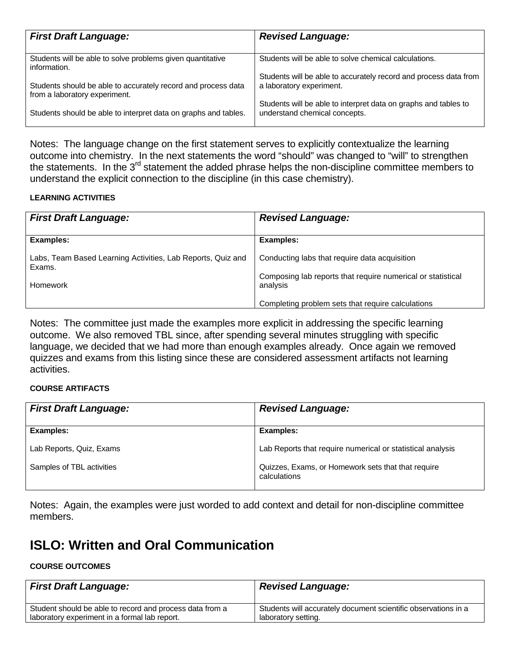| <b>First Draft Language:</b>                                                                   | <b>Revised Language:</b>                                                                         |
|------------------------------------------------------------------------------------------------|--------------------------------------------------------------------------------------------------|
| Students will be able to solve problems given quantitative<br>information.                     | Students will be able to solve chemical calculations.                                            |
| Students should be able to accurately record and process data<br>from a laboratory experiment. | Students will be able to accurately record and process data from<br>a laboratory experiment.     |
| Students should be able to interpret data on graphs and tables.                                | Students will be able to interpret data on graphs and tables to<br>understand chemical concepts. |

Notes: The language change on the first statement serves to explicitly contextualize the learning outcome into chemistry. In the next statements the word "should" was changed to "will" to strengthen the statements. In the  $3^{rd}$  statement the added phrase helps the non-discipline committee members to understand the explicit connection to the discipline (in this case chemistry).

### **LEARNING ACTIVITIES**

| <b>First Draft Language:</b>                                          | <b>Revised Language:</b>                                                                                     |
|-----------------------------------------------------------------------|--------------------------------------------------------------------------------------------------------------|
| Examples:                                                             | <b>Examples:</b>                                                                                             |
| Labs, Team Based Learning Activities, Lab Reports, Quiz and<br>Exams. | Conducting labs that require data acquisition<br>Composing lab reports that require numerical or statistical |
| <b>Homework</b>                                                       | analysis                                                                                                     |
|                                                                       | Completing problem sets that require calculations                                                            |

Notes: The committee just made the examples more explicit in addressing the specific learning outcome. We also removed TBL since, after spending several minutes struggling with specific language, we decided that we had more than enough examples already. Once again we removed quizzes and exams from this listing since these are considered assessment artifacts not learning activities.

#### **COURSE ARTIFACTS**

| <b>First Draft Language:</b> | <b>Revised Language:</b>                                           |
|------------------------------|--------------------------------------------------------------------|
| Examples:                    | <b>Examples:</b>                                                   |
| Lab Reports, Quiz, Exams     | Lab Reports that require numerical or statistical analysis         |
| Samples of TBL activities    | Quizzes, Exams, or Homework sets that that require<br>calculations |

Notes: Again, the examples were just worded to add context and detail for non-discipline committee members.

### **ISLO: Written and Oral Communication**

#### **COURSE OUTCOMES**

| <b>First Draft Language:</b>                             | <b>Revised Language:</b>                                       |
|----------------------------------------------------------|----------------------------------------------------------------|
| Student should be able to record and process data from a | Students will accurately document scientific observations in a |
| laboratory experiment in a formal lab report.            | laboratory setting.                                            |